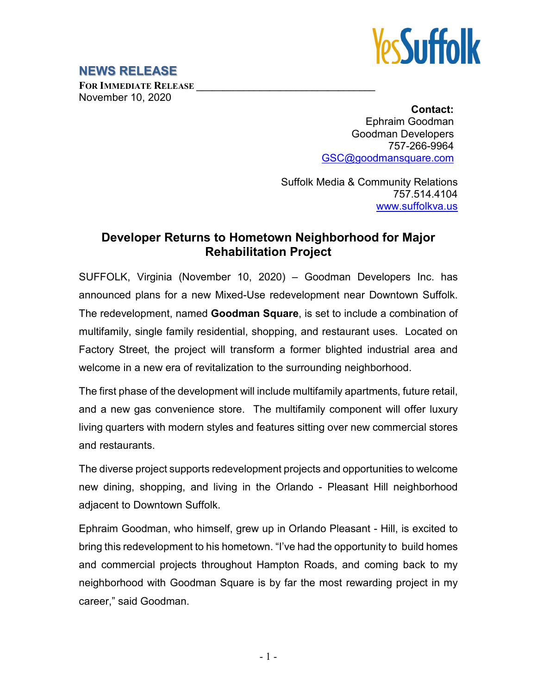

## **NEWS RELEASE**

**FOR IMMEDIATE RELEASE \_\_\_\_\_\_\_\_\_\_\_\_\_\_\_\_\_\_\_\_\_\_\_\_\_\_\_\_\_\_\_\_\_\_** November 10, 2020

> **Contact:** Ephraim Goodman Goodman Developers 757-266-9964 [GSC@goodmansquare.com](mailto:GSC@goodmansquare.com)

Suffolk Media & Community Relations 757.514.4104 [www.suffolkva.us](http://www.suffolkva.us/)

## **Developer Returns to Hometown Neighborhood for Major Rehabilitation Project**

SUFFOLK, Virginia (November 10, 2020) – Goodman Developers Inc. has announced plans for a new Mixed-Use redevelopment near Downtown Suffolk. The redevelopment, named **Goodman Square**, is set to include a combination of multifamily, single family residential, shopping, and restaurant uses. Located on Factory Street, the project will transform a former blighted industrial area and welcome in a new era of revitalization to the surrounding neighborhood.

The first phase of the development will include multifamily apartments, future retail, and a new gas convenience store. The multifamily component will offer luxury living quarters with modern styles and features sitting over new commercial stores and restaurants.

The diverse project supports redevelopment projects and opportunities to welcome new dining, shopping, and living in the Orlando - Pleasant Hill neighborhood adjacent to Downtown Suffolk.

Ephraim Goodman, who himself, grew up in Orlando Pleasant - Hill, is excited to bring this redevelopment to his hometown. "I've had the opportunity to build homes and commercial projects throughout Hampton Roads, and coming back to my neighborhood with Goodman Square is by far the most rewarding project in my career," said Goodman.